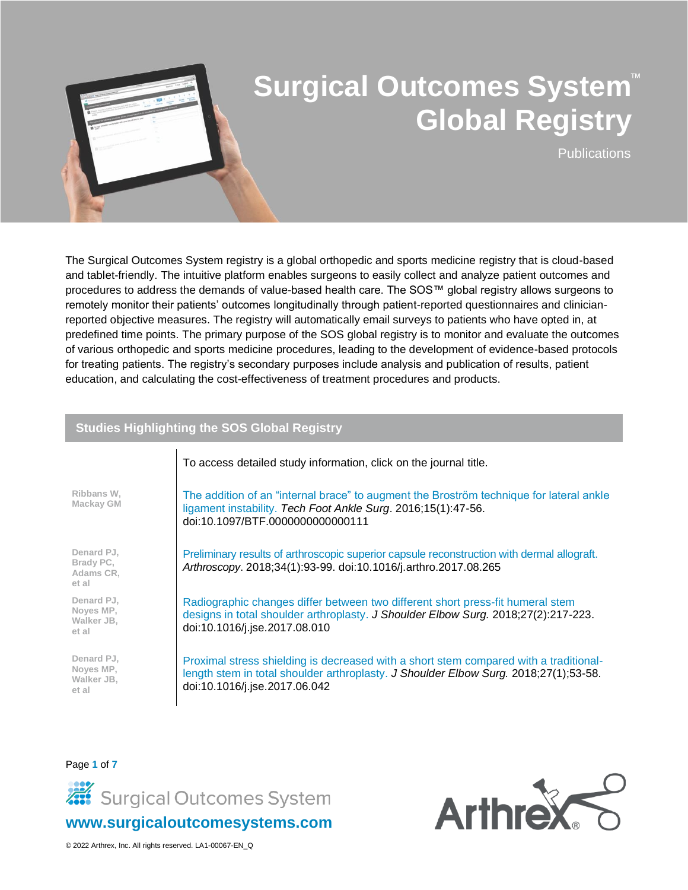

**Publications** 

The Surgical Outcomes System registry is a global orthopedic and sports medicine registry that is cloud-based and tablet-friendly. The intuitive platform enables surgeons to easily collect and analyze patient outcomes and procedures to address the demands of value-based health care. The SOS™ global registry allows surgeons to remotely monitor their patients' outcomes longitudinally through patient-reported questionnaires and clinicianreported objective measures. The registry will automatically email surveys to patients who have opted in, at predefined time points. The primary purpose of the SOS global registry is to monitor and evaluate the outcomes of various orthopedic and sports medicine procedures, leading to the development of evidence-based protocols for treating patients. The registry's secondary purposes include analysis and publication of results, patient education, and calculating the cost-effectiveness of treatment procedures and products.

#### **Studies Highlighting the SOS Global Registry**

|                                                | To access detailed study information, click on the journal title.                                                                                                                                              |
|------------------------------------------------|----------------------------------------------------------------------------------------------------------------------------------------------------------------------------------------------------------------|
| Ribbans W,<br>Mackay GM                        | The addition of an "internal brace" to augment the Broström technique for lateral ankle<br>ligament instability. Tech Foot Ankle Surg. 2016;15(1):47-56.<br>doi:10.1097/BTF.0000000000000111                   |
| Denard PJ,<br>Brady PC,<br>Adams CR,<br>et al  | Preliminary results of arthroscopic superior capsule reconstruction with dermal allograft.<br>Arthroscopy. 2018;34(1):93-99. doi:10.1016/j.arthro.2017.08.265                                                  |
| Denard PJ,<br>Noyes MP,<br>Walker JB,<br>et al | Radiographic changes differ between two different short press-fit humeral stem<br>designs in total shoulder arthroplasty. J Shoulder Elbow Surg. 2018;27(2):217-223.<br>doi:10.1016/j.jse.2017.08.010          |
| Denard PJ,<br>Noyes MP,<br>Walker JB.<br>et al | Proximal stress shielding is decreased with a short stem compared with a traditional-<br>length stem in total shoulder arthroplasty. J Shoulder Elbow Surg. 2018;27(1);53-58.<br>doi:10.1016/j.jse.2017.06.042 |

Page **1** of **7**



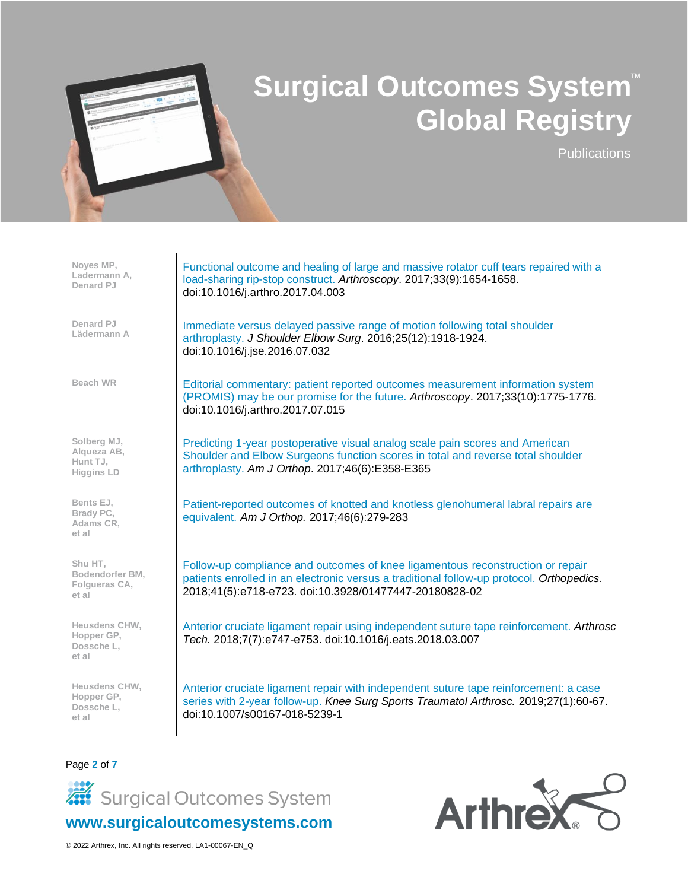

**Publications** 

| Noyes MP,<br>Ladermann A,<br>Denard PJ                      | Functional outcome and healing of large and massive rotator cuff tears repaired with a<br>load-sharing rip-stop construct. Arthroscopy. 2017;33(9):1654-1658.<br>doi:10.1016/j.arthro.2017.04.003                                    |
|-------------------------------------------------------------|--------------------------------------------------------------------------------------------------------------------------------------------------------------------------------------------------------------------------------------|
| Denard PJ<br>Lädermann A                                    | Immediate versus delayed passive range of motion following total shoulder<br>arthroplasty. J Shoulder Elbow Surg. 2016;25(12):1918-1924.<br>doi:10.1016/j.jse.2016.07.032                                                            |
| <b>Beach WR</b>                                             | Editorial commentary: patient reported outcomes measurement information system<br>(PROMIS) may be our promise for the future. Arthroscopy. 2017;33(10):1775-1776.<br>doi:10.1016/j.arthro.2017.07.015                                |
| Solberg MJ,<br>Algueza AB,<br>Hunt TJ,<br><b>Higgins LD</b> | Predicting 1-year postoperative visual analog scale pain scores and American<br>Shoulder and Elbow Surgeons function scores in total and reverse total shoulder<br>arthroplasty. Am J Orthop. 2017;46(6):E358-E365                   |
| Bents EJ,<br>Brady PC,<br>Adams CR,<br>et al                | Patient-reported outcomes of knotted and knotless glenohumeral labral repairs are<br>equivalent. Am J Orthop. 2017;46(6):279-283                                                                                                     |
| Shu HT,<br>Bodendorfer BM,<br>Folgueras CA,<br>et al        | Follow-up compliance and outcomes of knee ligamentous reconstruction or repair<br>patients enrolled in an electronic versus a traditional follow-up protocol. Orthopedics.<br>2018;41(5):e718-e723. doi:10.3928/01477447-20180828-02 |
| Heusdens CHW,<br>Hopper GP,<br>Dossche L.<br>et al          | Anterior cruciate ligament repair using independent suture tape reinforcement. Arthrosc<br>Tech. 2018;7(7):e747-e753. doi:10.1016/j.eats.2018.03.007                                                                                 |
| Heusdens CHW,<br>Hopper GP,<br>Dossche L.<br>et al          | Anterior cruciate ligament repair with independent suture tape reinforcement: a case<br>series with 2-year follow-up. Knee Surg Sports Traumatol Arthrosc. 2019;27(1):60-67.<br>doi:10.1007/s00167-018-5239-1                        |

#### Page **2** of **7**



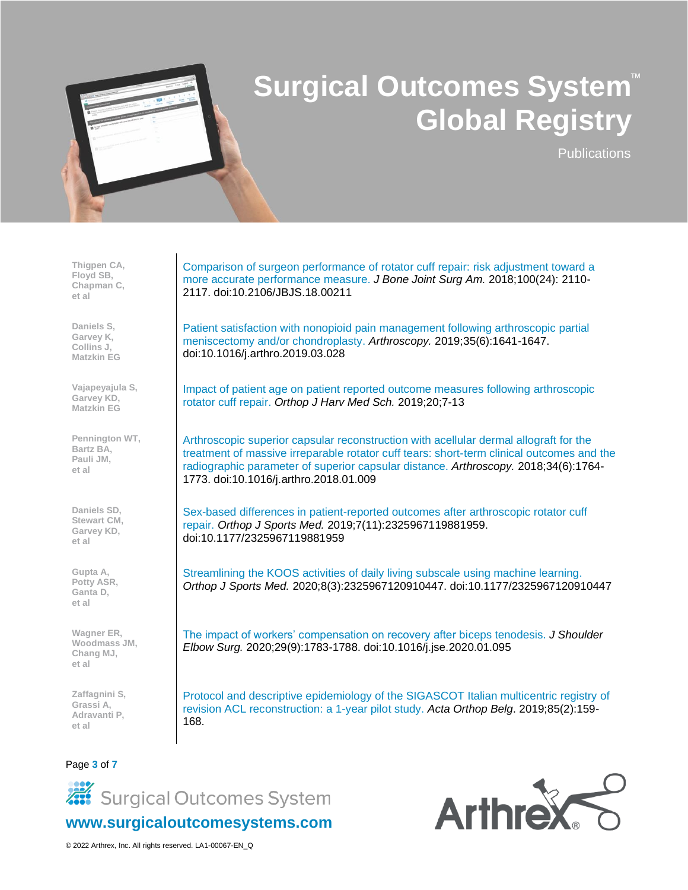

**Publications** 

**Thigpen CA, Floyd SB, Chapman C, et al**

**Daniels S, Garvey K, Collins J, Matzkin EG**

**Vajapeyajula S, Garvey KD, Matzkin EG**

**Pennington WT, Bartz BA, Pauli JM, et al**

**Daniels SD, Stewart CM, Garvey KD, et al**

**Gupta A, Potty ASR, Ganta D, et al**

**Wagner ER, Woodmass JM, Chang MJ, et al**

**Zaffagnini S, Grassi A, Adravanti P, et al**

Page **3** of **7**

[Comparison of surgeon performance of rotator cuff repair: risk adjustment toward a](https://journals.lww.com/jbjsjournal/subjects/shoulder/Abstract/2018/12190/Comparison_of_Surgeon_Performance_of_Rotator_Cuff.3.aspx)  [more accurate performance measure.](https://journals.lww.com/jbjsjournal/subjects/shoulder/Abstract/2018/12190/Comparison_of_Surgeon_Performance_of_Rotator_Cuff.3.aspx) *J Bone Joint Surg Am.* 2018;100(24): 2110- 2117. doi:10.2106/JBJS.18.00211

[Patient satisfaction with nonopioid pain management following arthroscopic partial](https://pubmed.ncbi.nlm.nih.gov/31072715/)  [meniscectomy and/or chondroplasty.](https://pubmed.ncbi.nlm.nih.gov/31072715/) *Arthroscopy.* 2019;35(6):1641-1647. doi:10.1016/j.arthro.2019.03.028

Impact of patient age on patient reported outcome measures following arthroscopic rotator cuff repair. *Orthop J Harv Med Sch.* 2019;20;7-13

[Arthroscopic superior capsular reconstruction with acellular dermal allograft for the](https://www.arthroscopyjournal.org/article/S0749-8063(18)30033-1/abstract)  [treatment of massive irreparable rotator cuff tears: short-term clinical outcomes and the](https://www.arthroscopyjournal.org/article/S0749-8063(18)30033-1/abstract)  [radiographic parameter of superior capsular distance.](https://www.arthroscopyjournal.org/article/S0749-8063(18)30033-1/abstract) *Arthroscopy.* 2018;34(6):1764- 1773. doi:10.1016/j.arthro.2018.01.009

[Sex-based differences in patient-reported outcomes after arthroscopic rotator cuff](https://journals.sagepub.com/doi/10.1177/2325967119881959)  [repair.](https://journals.sagepub.com/doi/10.1177/2325967119881959) *Orthop J Sports Med.* 2019;7(11):2325967119881959. doi:10.1177/2325967119881959

[Streamlining the KOOS activities of daily living subscale using machine learning.](https://pubmed.ncbi.nlm.nih.gov/32270015/) *Orthop J Sports Med.* 2020;8(3):2325967120910447. doi:10.1177/2325967120910447

[The impact of workers' compensation on recovery after biceps tenodesis.](https://www.sciencedirect.com/science/article/abs/pii/S1058274620301695) *J Shoulder Elbow Surg.* 2020;29(9):1783-1788. doi:10.1016/j.jse.2020.01.095

Protocol and descriptive epidemiology of the SIGASCOT Italian multicentric registry of revision ACL reconstruction: a 1-year pilot study. *Acta Orthop Belg*. 2019;85(2):159- 168.



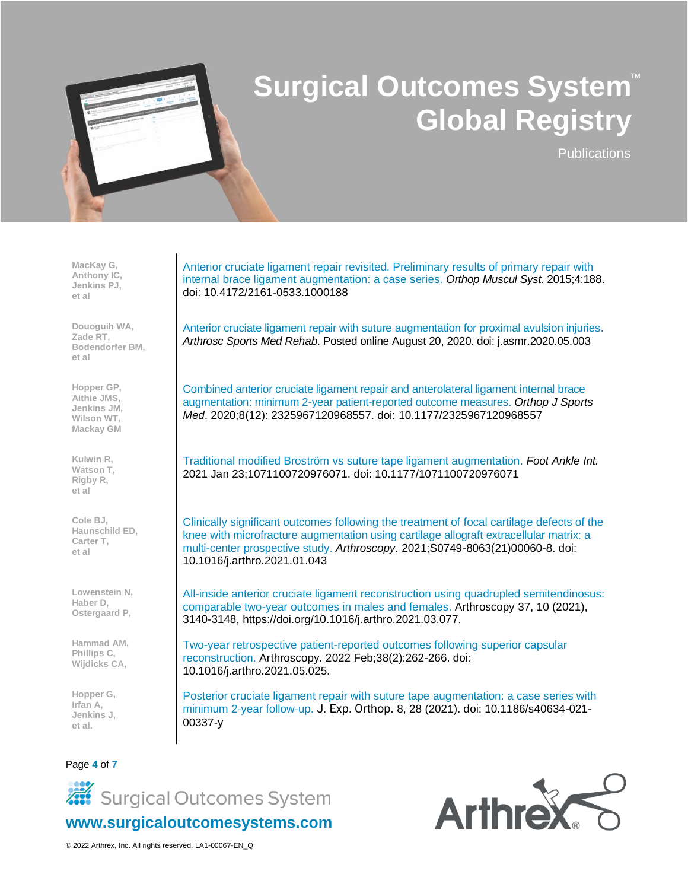

**Publications** 

**MacKay G, Anthony IC, Jenkins PJ, et al**

**Douoguih WA, Zade RT, Bodendorfer BM, et al**

**Hopper GP, Aithie JMS, Jenkins JM, Wilson WT, Mackay GM**

**Kulwin R, Watson T, Rigby R, et al**

**Cole BJ, Haunschild ED, Carter T, et al**

**Lowenstein N, Haber D, Ostergaard P,**

**Hammad AM, Phillips C, Wijdicks CA,**

**Hopper G, Irfan A, Jenkins J, et al.**

#### Page **4** of **7**

Anterior [cruciate ligament repair revisited. Preliminary results of primary repair with](https://www.longdom.org/open-access/anterior-cruciate-ligament-repair-revisited-preliminary-results-of-primary-repair-with-internal-brace-ligament-augmentation-a-case-series-2161-0533-1000188.pdf)  [internal brace ligament augmentation: a case series.](https://www.longdom.org/open-access/anterior-cruciate-ligament-repair-revisited-preliminary-results-of-primary-repair-with-internal-brace-ligament-augmentation-a-case-series-2161-0533-1000188.pdf) *Orthop Muscul Syst.* 2015;4:188. doi: 10.4172/2161-0533.1000188

[Anterior cruciate ligament repair with suture augmentation for proximal avulsion injuries.](https://pubmed.ncbi.nlm.nih.gov/33134983/) *Arthrosc Sports Med Rehab*. Posted online August 20, 2020. doi: j.asmr.2020.05.003

[Combined anterior cruciate ligament repair and anterolateral ligament internal brace](https://journals.sagepub.com/doi/full/10.1177/2325967120968557)  [augmentation: minimum 2-year patient-reported outcome measures.](https://journals.sagepub.com/doi/full/10.1177/2325967120968557) *Orthop J Sports Med*. 2020;8(12): 2325967120968557. doi: 10.1177/2325967120968557

[Traditional modified Broström vs suture tape ligament augmentation.](https://journals.sagepub.com/doi/abs/10.1177/1071100720976071?journalCode=faib) *Foot Ankle Int.*  2021 Jan 23;1071100720976071. doi: 10.1177/1071100720976071

[Clinically significant outcomes following the treatment of focal cartilage defects of the](https://www.arthroscopyjournal.org/article/S0749-8063(21)00060-8/abstract)  [knee with microfracture augmentation using cartilage allograft extracellular matrix: a](https://www.arthroscopyjournal.org/article/S0749-8063(21)00060-8/abstract)  [multi-center prospective](https://www.arthroscopyjournal.org/article/S0749-8063(21)00060-8/abstract) study. *Arthroscopy*. 2021;S0749-8063(21)00060-8. doi: 10.1016/j.arthro.2021.01.043

[All-inside anterior cruciate ligament reconstruction using quadrupled semitendinosus:](https://www.sciencedirect.com/science/article/pii/S0749806321003455)  [comparable two-year outcomes in males and females.](https://www.sciencedirect.com/science/article/pii/S0749806321003455) Arthroscopy 37, 10 (2021), 3140-3148, https://doi.org/10.1016/j.arthro.2021.03.077.

[Two-year retrospective patient-reported outcomes following superior capsular](https://pubmed.ncbi.nlm.nih.gov/34052377/)  [reconstruction.](https://pubmed.ncbi.nlm.nih.gov/34052377/) Arthroscopy. 2022 Feb;38(2):262-266. doi: 10.1016/j.arthro.2021.05.025.

[Posterior cruciate ligament repair with suture tape augmentation: a case series with](https://jeo-esska.springeropen.com/articles/10.1186/s40634-021-00337-y)  [minimum 2](https://jeo-esska.springeropen.com/articles/10.1186/s40634-021-00337-y)-year follow-up. J. Exp. Orthop. 8, 28 (2021). doi: 10.1186/s40634-021- 00337-y



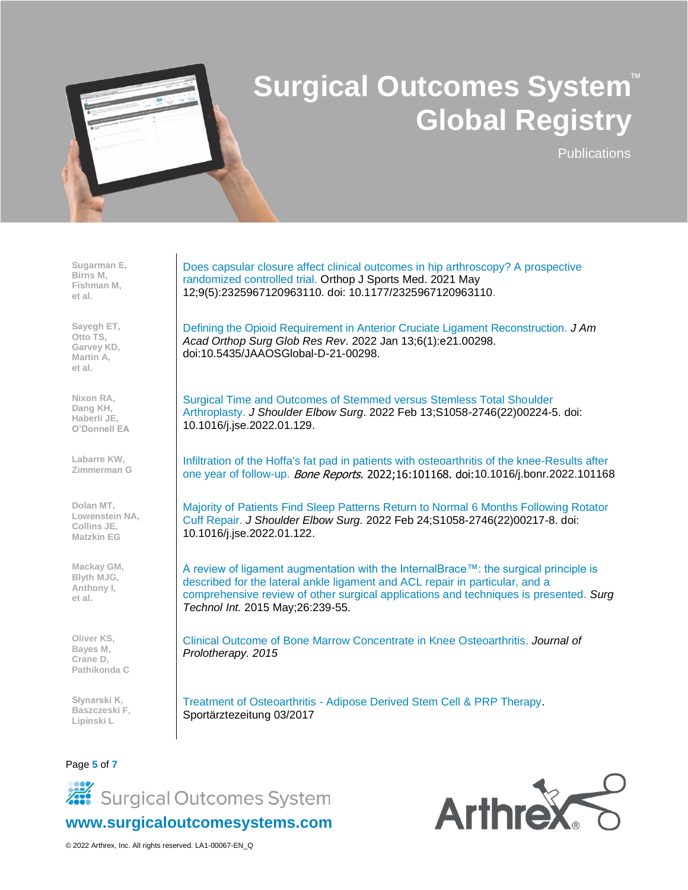

**Publications** 

**Sugarman E, Birns M, Fishman M, et al.**

**Sayegh ET, Otto TS, Garvey KD, Martin A, et al.**

**Nixon RA, Dang KH, Haberli JE, O'Donnell EA**

**Labarre KW, Zimmerman G**

**Dolan MT, Lowenstein NA, Collins JE, Matzkin EG**

**Mackay GM, Blyth MJG, Anthony I, et al.**

**Oliver KS, Bayes M, Crane D, Pathikonda C**

**Słynarski K, Baszczeski F, Lipinski L**

Page **5** of **7**

[Does capsular closure affect clinical outcomes in hip arthroscopy? A prospective](https://www.ncbi.nlm.nih.gov/pmc/articles/PMC8120543/)  [randomized controlled trial.](https://www.ncbi.nlm.nih.gov/pmc/articles/PMC8120543/) Orthop J Sports Med. 2021 May 12;9(5):2325967120963110. doi: 10.1177/2325967120963110.

[Defining the Opioid Requirement in Anterior Cruciate Ligament Reconstruction.](https://pubmed.ncbi.nlm.nih.gov/35025832/) *J Am Acad Orthop Surg Glob Res Rev*. 2022 Jan 13;6(1):e21.00298. doi:10.5435/JAAOSGlobal-D-21-00298.

[Surgical Time and Outcomes of Stemmed versus Stemless Total Shoulder](https://pubmed.ncbi.nlm.nih.gov/35172208/)  [Arthroplasty.](https://pubmed.ncbi.nlm.nih.gov/35172208/) *J Shoulder Elbow Surg*. 2022 Feb 13;S1058-2746(22)00224-5. doi: 10.1016/j.jse.2022.01.129.

[Infiltration of the Hoffa's fat pad in patients with osteoarthritis of the knee-Results after](https://www.sciencedirect.com/science/article/pii/S2352187222000031)  [one year of follow-up.](https://www.sciencedirect.com/science/article/pii/S2352187222000031) *Bone Reports.* 2022;16:101168. doi:10.1016/j.bonr.2022.101168

[Majority of Patients Find Sleep Patterns Return to Normal 6 Months Following Rotator](https://pubmed.ncbi.nlm.nih.gov/35219845/)  [Cuff Repair.](https://pubmed.ncbi.nlm.nih.gov/35219845/) *J Shoulder Elbow Surg.* 2022 Feb 24;S1058-2746(22)00217-8. doi: 10.1016/j.jse.2022.01.122.

[A review of ligament augmentation with the InternalBrace™: the surgical principle is](https://pubmed.ncbi.nlm.nih.gov/26055016/)  [described for the lateral ankle ligament and ACL repair in particular, and a](https://pubmed.ncbi.nlm.nih.gov/26055016/)  [comprehensive review of other surgical applications and techniques is presented.](https://pubmed.ncbi.nlm.nih.gov/26055016/) *Surg Technol Int.* 2015 May;26:239-55.

[Clinical Outcome of Bone Marrow Concentrate in Knee Osteoarthritis.](http://www.journalofprolotherapy.com/wp-content/uploads/volume_07_02_bone_marrow_knee_osteoarthritis.pdf) *Journal of Prolotherapy. 2015*

Treatment of Osteoarthritis - [Adipose Derived Stem Cell & PRP Therapy.](https://orthobiologics.clinic/wp-content/uploads/14-19_Slynarski_saez0317.pdf) Sportärztezeitung 03/2017



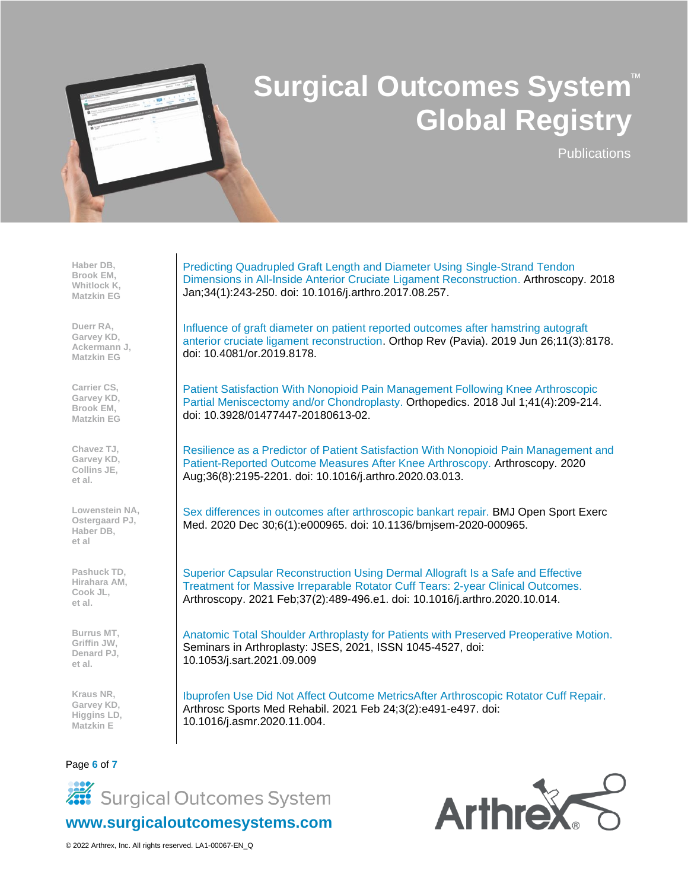

**Publications** 

**Haber DB, Brook EM, Whitlock K, Matzkin EG**

**Duerr RA, Garvey KD, Ackermann J, Matzkin EG**

**Carrier CS, Garvey KD, Brook EM, Matzkin EG**

**Chavez TJ, Garvey KD, Collins JE, et al.**

**Lowenstein NA, Ostergaard PJ, Haber DB, et al**

**Pashuck TD, Hirahara AM, Cook JL, et al.**

**Burrus MT, Griffin JW, Denard PJ, et al.**

**Kraus NR, Garvey KD, Higgins LD, Matzkin E**

Page **6** of **7**

[Predicting Quadrupled Graft Length and Diameter Using Single-Strand Tendon](https://pubmed.ncbi.nlm.nih.gov/29100776/)  [Dimensions in All-Inside Anterior Cruciate Ligament Reconstruction.](https://pubmed.ncbi.nlm.nih.gov/29100776/) Arthroscopy. 2018 Jan;34(1):243-250. doi: 10.1016/j.arthro.2017.08.257.

[Influence of graft diameter on patient reported outcomes after hamstring autograft](https://pubmed.ncbi.nlm.nih.gov/31579202/)  [anterior cruciate ligament reconstruction.](https://pubmed.ncbi.nlm.nih.gov/31579202/) Orthop Rev (Pavia). 2019 Jun 26;11(3):8178. doi: 10.4081/or.2019.8178.

[Patient Satisfaction With Nonopioid Pain Management Following Knee Arthroscopic](https://pubmed.ncbi.nlm.nih.gov/29913027/)  [Partial Meniscectomy and/or Chondroplasty.](https://pubmed.ncbi.nlm.nih.gov/29913027/) Orthopedics. 2018 Jul 1;41(4):209-214. doi: 10.3928/01477447-20180613-02.

[Resilience as a Predictor of Patient Satisfaction With Nonopioid Pain Management and](https://pubmed.ncbi.nlm.nih.gov/32200065/)  [Patient-Reported Outcome Measures After Knee Arthroscopy.](https://pubmed.ncbi.nlm.nih.gov/32200065/) Arthroscopy. 2020 Aug;36(8):2195-2201. doi: 10.1016/j.arthro.2020.03.013.

[Sex differences in outcomes after arthroscopic bankart repair.](https://pubmed.ncbi.nlm.nih.gov/33437497/) BMJ Open Sport Exerc Med. 2020 Dec 30;6(1):e000965. doi: 10.1136/bmjsem-2020-000965.

[Superior Capsular Reconstruction Using Dermal Allograft Is a Safe and Effective](https://pubmed.ncbi.nlm.nih.gov/33080333/)  Treatment for Massive Irreparable [Rotator Cuff Tears: 2-year Clinical Outcomes.](https://pubmed.ncbi.nlm.nih.gov/33080333/) Arthroscopy. 2021 Feb;37(2):489-496.e1. doi: 10.1016/j.arthro.2020.10.014.

[Anatomic Total Shoulder Arthroplasty for Patients with Preserved Preoperative Motion.](https://www.sciencedirect.com/science/article/abs/pii/S1045452721001267) Seminars in Arthroplasty: JSES, 2021, ISSN 1045-4527, doi: 10.1053/j.sart.2021.09.009

[Ibuprofen Use Did Not Affect Outcome MetricsAfter Arthroscopic Rotator Cuff Repair.](https://pubmed.ncbi.nlm.nih.gov/34027460/) Arthrosc Sports Med Rehabil. 2021 Feb 24;3(2):e491-e497. doi: 10.1016/j.asmr.2020.11.004.